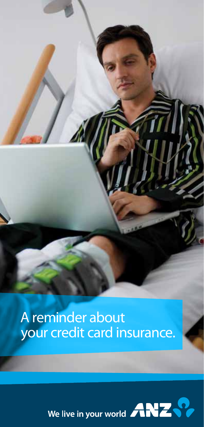# A reminder about your credit card insurance.

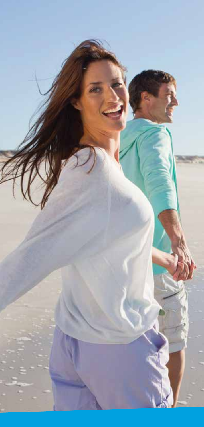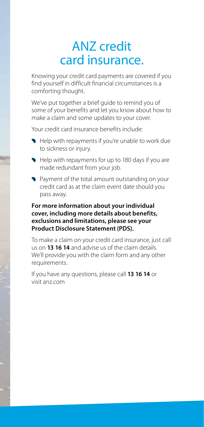## ANZ credit card insurance.

Knowing your credit card payments are covered if you find yourself in difficult financial circumstances is a comforting thought.

We've put together a brief guide to remind you of some of your benefits and let you know about how to make a claim and some updates to your cover.

Your credit card insurance benefits include:

- Help with repayments if you're unable to work due to sickness or injury.
- Help with repayments for up to 180 days if you are made redundant from your job.
- Payment of the total amount outstanding on your credit card as at the claim event date should you pass away.

#### **For more information about your individual cover, including more details about benefits, exclusions and limitations, please see your Product Disclosure Statement (PDS).**

To make a claim on your credit card insurance, just call us on **13 16 14** and advise us of the claim details. We'll provide you with the claim form and any other requirements.

If you have any questions, please call **13 16 14** or visit anz.com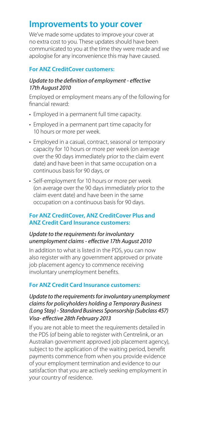### **Improvements to your cover**

We've made some updates to improve your cover at no extra cost to you. These updates should have been communicated to you at the time they were made and we apologise for any inconvenience this may have caused.

#### **For ANZ CreditCover customers:**

#### *Update to the definition of employment - effective 17th August 2010*

Employed or employment means any of the following for financial reward:

- Employed in a permanent full time capacity.
- Employed in a permanent part time capacity for 10 hours or more per week.
- Employed in a casual, contract, seasonal or temporary capacity for 10 hours or more per week (on average over the 90 days immediately prior to the claim event date) and have been in that same occupation on a continuous basis for 90 days, or
- Self-employment for 10 hours or more per week (on average over the 90 days immediately prior to the claim event date) and have been in the same occupation on a continuous basis for 90 days.

#### **For ANZ CreditCover, ANZ CreditCover Plus and ANZ Credit Card Insurance customers:**

#### *Update to the requirements for involuntary unemployment claims - effective 17th August 2010*

In addition to what is listed in the PDS, you can now also register with any government approved or private job placement agency to commence receiving involuntary unemployment benefits.

#### **For ANZ Credit Card Insurance customers:**

#### *Update to the requirements for involuntary unemployment claims for policyholders holding a Temporary Business (Long Stay) - Standard Business Sponsorship (Subclass 457) Visa- effective 28th February 2013*

If you are not able to meet the requirements detailed in the PDS (of being able to register with Centrelink, or an Australian government approved job placement agency), subject to the application of the waiting period, benefit payments commence from when you provide evidence of your employment termination and evidence to our satisfaction that you are actively seeking employment in your country of residence.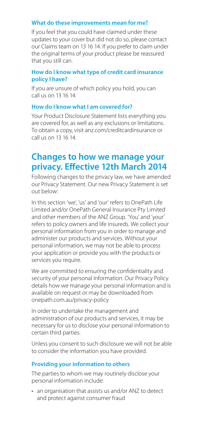#### **What do these improvements mean for me?**

If you feel that you could have claimed under these updates to your cover but did not do so, please contact our Claims team on 13 16 14. If you prefer to claim under the original terms of your product please be reassured that you still can.

#### **How do I know what type of credit card insurance policy I have?**

If you are unsure of which policy you hold, you can call us on 13 16 14.

#### **How do I know what I am covered for?**

Your Product Disclosure Statement lists everything you are covered for, as well as any exclusions or limitations. To obtain a copy, visit anz.com/creditcardinsurance or call us on 13 16 14.

## **Changes to how we manage your privacy. Effective 12th March 2014**

Following changes to the privacy law, we have amended our Privacy Statement. Our new Privacy Statement is set out below:

In this section 'we', 'us' and 'our' refers to OnePath Life Limited and/or OnePath General Insurance Pty Limited and other members of the ANZ Group. 'You' and 'your' refers to policy owners and life insureds. We collect your personal information from you in order to manage and administer our products and services. Without your personal information, we may not be able to process your application or provide you with the products or services you require.

We are committed to ensuring the confidentiality and security of your personal information. Our Privacy Policy details how we manage your personal information and is available on request or may be downloaded from onepath.com.au/privacy-policy

In order to undertake the management and administration of our products and services, it may be necessary for us to disclose your personal information to certain third parties.

Unless you consent to such disclosure we will not be able to consider the information you have provided.

#### **Providing your information to others**

The parties to whom we may routinely disclose your personal information include:

• an organisation that assists us and/or ANZ to detect and protect against consumer fraud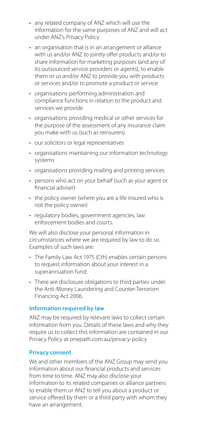- any related company of ANZ which will use the information for the same purposes of ANZ and will act under ANZ's Privacy Policy
- an organisation that is in an arrangement or alliance with us and/or ANZ to jointly offer products and/or to share information for marketing purposes (and any of its outsourced service providers or agents), to enable them or us and/or ANZ to provide you with products or services and/or to promote a product or service
- organisations performing administration and compliance functions in relation to the product and services we provide
- organisations providing medical or other services for the purpose of the assessment of any insurance claim you make with us (such as reinsurers)
- our solicitors or legal representatives
- organisations maintaining our information technology systems
- organisations providing mailing and printing services
- persons who act on your behalf (such as your agent or financial adviser)
- the policy owner (where you are a life insured who is not the policy owner)
- regulatory bodies, government agencies, law enforcement bodies and courts.

We will also disclose your personal information in circumstances where we are required by law to do so. Examples of such laws are:

- The Family Law Act 1975 (Cth) enables certain persons to request information about your interest in a superannuation fund.
- There are disclosure obligations to third parties under the Anti-Money Laundering and Counter-Terrorism Financing Act 2006.

#### **Information required by law**

ANZ may be required by relevant laws to collect certain information from you. Details of these laws and why they require us to collect this information are contained in our Privacy Policy at onepath.com.au/privacy-policy

#### **Privacy consent**

We and other members of the ANZ Group may send you information about our financial products and services from time to time. ANZ may also disclose your information to its related companies or alliance partners to enable them or ANZ to tell you about a product or service offered by them or a third party with whom they have an arrangement.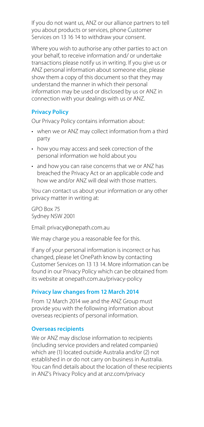If you do not want us, ANZ or our alliance partners to tell you about products or services, phone Customer Services on 13 16 14 to withdraw your consent.

Where you wish to authorise any other parties to act on your behalf, to receive information and/ or undertake transactions please notify us in writing. If you give us or ANZ personal information about someone else, please show them a copy of this document so that they may understand the manner in which their personal information may be used or disclosed by us or ANZ in connection with your dealings with us or ANZ.

#### **Privacy Policy**

Our Privacy Policy contains information about:

- when we or ANZ may collect information from a third party
- how you may access and seek correction of the personal information we hold about you
- and how you can raise concerns that we or ANZ has breached the Privacy Act or an applicable code and how we and/or ANZ will deal with those matters.

You can contact us about your information or any other privacy matter in writing at:

GPO Box 75 Sydney NSW 2001

Email: privacy@onepath.com.au

We may charge you a reasonable fee for this.

If any of your personal information is incorrect or has changed, please let OnePath know by contacting Customer Services on 13 13 14. More information can be found in our Privacy Policy which can be obtained from its website at onepath.com.au/privacy-policy

#### **Privacy law changes from 12 March 2014**

From 12 March 2014 we and the ANZ Group must provide you with the following information about overseas recipients of personal information.

#### **Overseas recipients**

We or ANZ may disclose information to recipients (including service providers and related companies) which are (1) located outside Australia and/or (2) not established in or do not carry on business in Australia. You can find details about the location of these recipients in ANZ's Privacy Policy and at anz.com/privacy